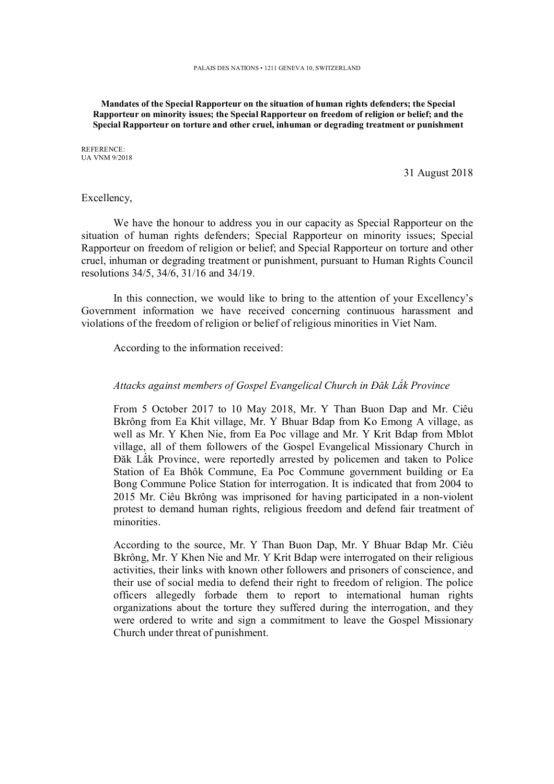**Mandates of the Special Rapporteur on the situation of human rights defenders; the Special Rapporteur on minority issues; the Special Rapporteur on freedom of religion or belief; and the Special Rapporteur on torture and other cruel, inhuman or degrading treatment or punishment** 

REFERENCE: UA VNM 9/2018

31 August 2018

## Excellency,

We have the honour to address you in our capacity as Special Rapporteur on the situation of human rights defenders; Special Rapporteur on minority issues; Special Rapporteur on freedom of religion or belief; and Special Rapporteur on torture and other cruel, inhuman or degrading treatment or punishment, pursuant to Human Rights Council resolutions 34/5, 34/6, 31/16 and 34/19.

In this connection, we would like to bring to the attention of your Excellency's Government information we have received concerning continuous harassment and violations of the freedom of religion or belief of religious minorities in Viet Nam.

According to the information received:

## *Attacks against members of Gospel Evangelical Church in Đăk Lắk Province*

From 5 October 2017 to 10 May 2018, Mr. Y Than Buon Dap and Mr. Ciêu Bkrông from Ea Khit village, Mr. Y Bhuar Bdap from Ko Emong A village, as well as Mr. Y Khen Nie, from Ea Poc village and Mr. Y Krit Bdap from Mblot village, all of them followers of the Gospel Evangelical Missionary Church in Đăk Lắk Province, were reportedly arrested by policemen and taken to Police Station of Ea Bhôk Commune, Ea Poc Commune government building or Ea Bong Commune Police Station for interrogation. It is indicated that from 2004 to 2015 Mr. Ciêu Bkrông was imprisoned for having participated in a non-violent protest to demand human rights, religious freedom and defend fair treatment of minorities.

According to the source, Mr. Y Than Buon Dap, Mr. Y Bhuar Bdap Mr. Ciêu Bkrông, Mr. Y Khen Nie and Mr. Y Krit Bdap were interrogated on their religious activities, their links with known other followers and prisoners of conscience, and their use of social media to defend their right to freedom of religion. The police officers allegedly forbade them to report to international human rights organizations about the torture they suffered during the interrogation, and they were ordered to write and sign a commitment to leave the Gospel Missionary Church under threat of punishment.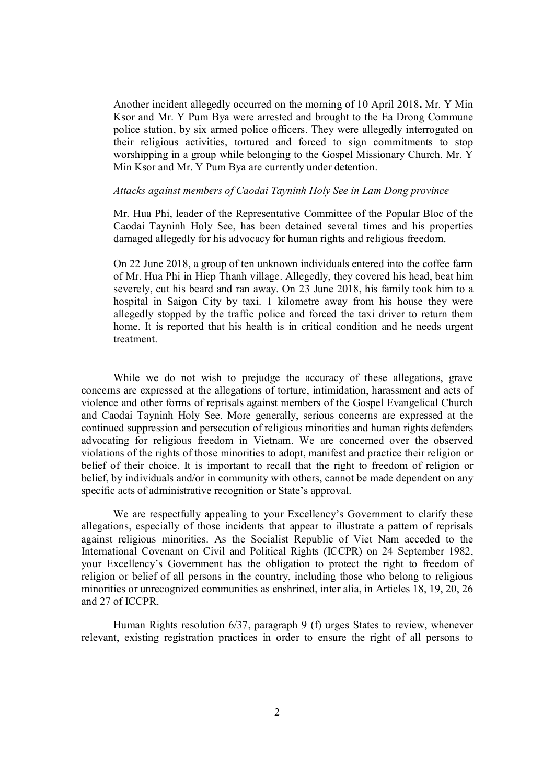Another incident allegedly occurred on the morning of 10 April 2018**.** Mr. Y Min Ksor and Mr. Y Pum Bya were arrested and brought to the Ea Drong Commune police station, by six armed police officers. They were allegedly interrogated on their religious activities, tortured and forced to sign commitments to stop worshipping in a group while belonging to the Gospel Missionary Church. Mr. Y Min Ksor and Mr. Y Pum Bya are currently under detention.

## *Attacks against members of Caodai Tayninh Holy See in Lam Dong province*

Mr. Hua Phi, leader of the Representative Committee of the Popular Bloc of the Caodai Tayninh Holy See, has been detained several times and his properties damaged allegedly for his advocacy for human rights and religious freedom.

On 22 June 2018, a group of ten unknown individuals entered into the coffee farm of Mr. Hua Phi in Hiep Thanh village. Allegedly, they covered his head, beat him severely, cut his beard and ran away. On 23 June 2018, his family took him to a hospital in Saigon City by taxi. 1 kilometre away from his house they were allegedly stopped by the traffic police and forced the taxi driver to return them home. It is reported that his health is in critical condition and he needs urgent treatment.

While we do not wish to prejudge the accuracy of these allegations, grave concerns are expressed at the allegations of torture, intimidation, harassment and acts of violence and other forms of reprisals against members of the Gospel Evangelical Church and Caodai Tayninh Holy See. More generally, serious concerns are expressed at the continued suppression and persecution of religious minorities and human rights defenders advocating for religious freedom in Vietnam. We are concerned over the observed violations of the rights of those minorities to adopt, manifest and practice their religion or belief of their choice. It is important to recall that the right to freedom of religion or belief, by individuals and/or in community with others, cannot be made dependent on any specific acts of administrative recognition or State's approval.

We are respectfully appealing to your Excellency's Government to clarify these allegations, especially of those incidents that appear to illustrate a pattern of reprisals against religious minorities. As the Socialist Republic of Viet Nam acceded to the International Covenant on Civil and Political Rights (ICCPR) on 24 September 1982, your Excellency's Government has the obligation to protect the right to freedom of religion or belief of all persons in the country, including those who belong to religious minorities or unrecognized communities as enshrined, inter alia, in Articles 18, 19, 20, 26 and 27 of ICCPR.

Human Rights resolution 6/37, paragraph 9 (f) urges States to review, whenever relevant, existing registration practices in order to ensure the right of all persons to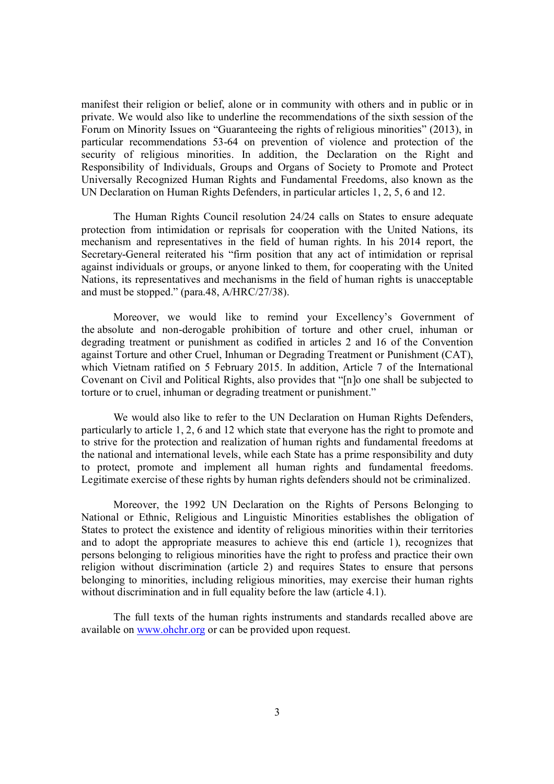manifest their religion or belief, alone or in community with others and in public or in private. We would also like to underline the recommendations of the sixth session of the Forum on Minority Issues on "Guaranteeing the rights of religious minorities" (2013), in particular recommendations 53-64 on prevention of violence and protection of the security of religious minorities. In addition, the Declaration on the Right and Responsibility of Individuals, Groups and Organs of Society to Promote and Protect Universally Recognized Human Rights and Fundamental Freedoms, also known as the UN Declaration on Human Rights Defenders, in particular articles 1, 2, 5, 6 and 12.

The Human Rights Council resolution 24/24 calls on States to ensure adequate protection from intimidation or reprisals for cooperation with the United Nations, its mechanism and representatives in the field of human rights. In his 2014 report, the Secretary-General reiterated his "firm position that any act of intimidation or reprisal against individuals or groups, or anyone linked to them, for cooperating with the United Nations, its representatives and mechanisms in the field of human rights is unacceptable and must be stopped." (para.48, A/HRC/27/38).

Moreover, we would like to remind your Excellency's Government of the absolute and non-derogable prohibition of torture and other cruel, inhuman or degrading treatment or punishment as codified in articles 2 and 16 of the Convention against Torture and other Cruel, Inhuman or Degrading Treatment or Punishment (CAT), which Vietnam ratified on 5 February 2015. In addition, Article 7 of the International Covenant on Civil and Political Rights, also provides that "[n]o one shall be subjected to torture or to cruel, inhuman or degrading treatment or punishment."

We would also like to refer to the UN Declaration on Human Rights Defenders, particularly to article 1, 2, 6 and 12 which state that everyone has the right to promote and to strive for the protection and realization of human rights and fundamental freedoms at the national and international levels, while each State has a prime responsibility and duty to protect, promote and implement all human rights and fundamental freedoms. Legitimate exercise of these rights by human rights defenders should not be criminalized.

Moreover, the 1992 UN Declaration on the Rights of Persons Belonging to National or Ethnic, Religious and Linguistic Minorities establishes the obligation of States to protect the existence and identity of religious minorities within their territories and to adopt the appropriate measures to achieve this end (article 1), recognizes that persons belonging to religious minorities have the right to profess and practice their own religion without discrimination (article 2) and requires States to ensure that persons belonging to minorities, including religious minorities, may exercise their human rights without discrimination and in full equality before the law (article 4.1).

The full texts of the human rights instruments and standards recalled above are available on www.ohchr.org or can be provided upon request.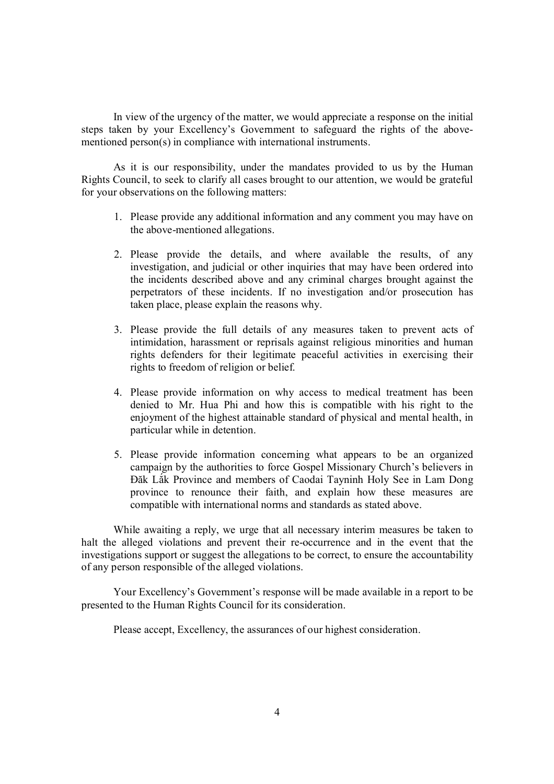In view of the urgency of the matter, we would appreciate a response on the initial steps taken by your Excellency's Government to safeguard the rights of the abovementioned person(s) in compliance with international instruments.

As it is our responsibility, under the mandates provided to us by the Human Rights Council, to seek to clarify all cases brought to our attention, we would be grateful for your observations on the following matters:

- 1. Please provide any additional information and any comment you may have on the above-mentioned allegations.
- 2. Please provide the details, and where available the results, of any investigation, and judicial or other inquiries that may have been ordered into the incidents described above and any criminal charges brought against the perpetrators of these incidents. If no investigation and/or prosecution has taken place, please explain the reasons why.
- 3. Please provide the full details of any measures taken to prevent acts of intimidation, harassment or reprisals against religious minorities and human rights defenders for their legitimate peaceful activities in exercising their rights to freedom of religion or belief.
- 4. Please provide information on why access to medical treatment has been denied to Mr. Hua Phi and how this is compatible with his right to the enjoyment of the highest attainable standard of physical and mental health, in particular while in detention.
- 5. Please provide information concerning what appears to be an organized campaign by the authorities to force Gospel Missionary Church's believers in Đăk Lắk Province and members of Caodai Tayninh Holy See in Lam Dong province to renounce their faith, and explain how these measures are compatible with international norms and standards as stated above.

While awaiting a reply, we urge that all necessary interim measures be taken to halt the alleged violations and prevent their re-occurrence and in the event that the investigations support or suggest the allegations to be correct, to ensure the accountability of any person responsible of the alleged violations.

Your Excellency's Government's response will be made available in a report to be presented to the Human Rights Council for its consideration.

Please accept, Excellency, the assurances of our highest consideration.